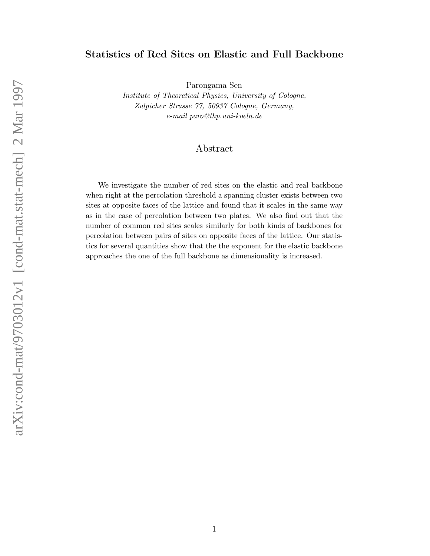## Statistics of Red Sites on Elastic and Full Backbone

Parongama Sen

Institute of Theoretical Physics, University of Cologne, Zulpicher Strasse 77, 50937 Cologne, Germany, e-mail paro@thp.uni-koeln.de

## Abstract

We investigate the number of red sites on the elastic and real backbone when right at the percolation threshold a spanning cluster exists between two sites at opposite faces of the lattice and found that it scales in the same way as in the case of percolation between two plates. We also find out that the number of common red sites scales similarly for both kinds of backbones for percolation between pairs of sites on opposite faces of the lattice. Our statistics for several quantities show that the the exponent for the elastic backbone approaches the one of the full backbone as dimensionality is increased.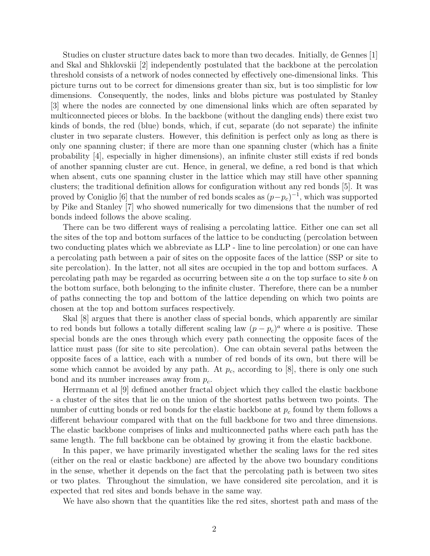Studies on cluster structure dates back to more than two decades. Initially, de Gennes [1] and Skal and Shklovskii [2] independently postulated that the backbone at the percolation threshold consists of a network of nodes connected by effectively one-dimensional links. This picture turns out to be correct for dimensions greater than six, but is too simplistic for low dimensions. Consequently, the nodes, links and blobs picture was postulated by Stanley [3] where the nodes are connected by one dimensional links which are often separated by multiconnected pieces or blobs. In the backbone (without the dangling ends) there exist two kinds of bonds, the red (blue) bonds, which, if cut, separate (do not separate) the infinite cluster in two separate clusters. However, this definition is perfect only as long as there is only one spanning cluster; if there are more than one spanning cluster (which has a finite probability [4], especially in higher dimensions), an infinite cluster still exists if red bonds of another spanning cluster are cut. Hence, in general, we define, a red bond is that which when absent, cuts one spanning cluster in the lattice which may still have other spanning clusters; the traditional definition allows for configuration without any red bonds [5]. It was proved by Coniglio [6] that the number of red bonds scales as  $(p-p_c)^{-1}$ , which was supported by Pike and Stanley [7] who showed numerically for two dimensions that the number of red bonds indeed follows the above scaling.

There can be two different ways of realising a percolating lattice. Either one can set all the sites of the top and bottom surfaces of the lattice to be conducting (percolation between two conducting plates which we abbreviate as LLP - line to line percolation) or one can have a percolating path between a pair of sites on the opposite faces of the lattice (SSP or site to site percolation). In the latter, not all sites are occupied in the top and bottom surfaces. A percolating path may be regarded as occurring between site a on the top surface to site b on the bottom surface, both belonging to the infinite cluster. Therefore, there can be a number of paths connecting the top and bottom of the lattice depending on which two points are chosen at the top and bottom surfaces respectively.

Skal [8] argues that there is another class of special bonds, which apparently are similar to red bonds but follows a totally different scaling law  $(p - p_c)^a$  where a is positive. These special bonds are the ones through which every path connecting the opposite faces of the lattice must pass (for site to site percolation). One can obtain several paths between the opposite faces of a lattice, each with a number of red bonds of its own, but there will be some which cannot be avoided by any path. At  $p_c$ , according to [8], there is only one such bond and its number increases away from  $p_c$ .

Herrmann et al [9] defined another fractal object which they called the elastic backbone - a cluster of the sites that lie on the union of the shortest paths between two points. The number of cutting bonds or red bonds for the elastic backbone at  $p_c$  found by them follows a different behaviour compared with that on the full backbone for two and three dimensions. The elastic backbone comprises of links and multiconnected paths where each path has the same length. The full backbone can be obtained by growing it from the elastic backbone.

In this paper, we have primarily investigated whether the scaling laws for the red sites (either on the real or elastic backbone) are affected by the above two boundary conditions in the sense, whether it depends on the fact that the percolating path is between two sites or two plates. Throughout the simulation, we have considered site percolation, and it is expected that red sites and bonds behave in the same way.

We have also shown that the quantities like the red sites, shortest path and mass of the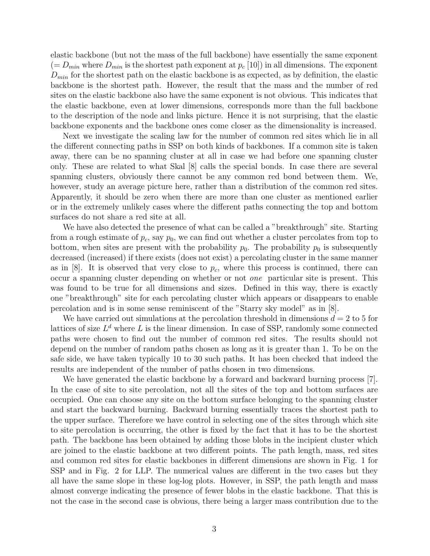elastic backbone (but not the mass of the full backbone) have essentially the same exponent  $(= D_{min}$  where  $D_{min}$  is the shortest path exponent at  $p_c$  [10]) in all dimensions. The exponent  $D_{min}$  for the shortest path on the elastic backbone is as expected, as by definition, the elastic backbone is the shortest path. However, the result that the mass and the number of red sites on the elastic backbone also have the same exponent is not obvious. This indicates that the elastic backbone, even at lower dimensions, corresponds more than the full backbone to the description of the node and links picture. Hence it is not surprising, that the elastic backbone exponents and the backbone ones come closer as the dimensionality is increased.

Next we investigate the scaling law for the number of common red sites which lie in all the different connecting paths in SSP on both kinds of backbones. If a common site is taken away, there can be no spanning cluster at all in case we had before one spanning cluster only. These are related to what Skal [8] calls the special bonds. In case there are several spanning clusters, obviously there cannot be any common red bond between them. We, however, study an average picture here, rather than a distribution of the common red sites. Apparently, it should be zero when there are more than one cluster as mentioned earlier or in the extremely unlikely cases where the different paths connecting the top and bottom surfaces do not share a red site at all.

We have also detected the presence of what can be called a "breakthrough" site. Starting from a rough estimate of  $p_c$ , say  $p_0$ , we can find out whether a cluster percolates from top to bottom, when sites are present with the probability  $p_0$ . The probability  $p_0$  is subsequently decreased (increased) if there exists (does not exist) a percolating cluster in the same manner as in  $[8]$ . It is observed that very close to  $p_c$ , where this process is continued, there can occur a spanning cluster depending on whether or not one particular site is present. This was found to be true for all dimensions and sizes. Defined in this way, there is exactly one "breakthrough" site for each percolating cluster which appears or disappears to enable percolation and is in some sense reminiscent of the "Starry sky model" as in [8].

We have carried out simulations at the percolation threshold in dimensions  $d = 2$  to 5 for lattices of size  $L^d$  where L is the linear dimension. In case of SSP, randomly some connected paths were chosen to find out the number of common red sites. The results should not depend on the number of random paths chosen as long as it is greater than 1. To be on the safe side, we have taken typically 10 to 30 such paths. It has been checked that indeed the results are independent of the number of paths chosen in two dimensions.

We have generated the elastic backbone by a forward and backward burning process [7]. In the case of site to site percolation, not all the sites of the top and bottom surfaces are occupied. One can choose any site on the bottom surface belonging to the spanning cluster and start the backward burning. Backward burning essentially traces the shortest path to the upper surface. Therefore we have control in selecting one of the sites through which site to site percolation is occurring, the other is fixed by the fact that it has to be the shortest path. The backbone has been obtained by adding those blobs in the incipient cluster which are joined to the elastic backbone at two different points. The path length, mass, red sites and common red sites for elastic backbones in different dimensions are shown in Fig. 1 for SSP and in Fig. 2 for LLP. The numerical values are different in the two cases but they all have the same slope in these log-log plots. However, in SSP, the path length and mass almost converge indicating the presence of fewer blobs in the elastic backbone. That this is not the case in the second case is obvious, there being a larger mass contribution due to the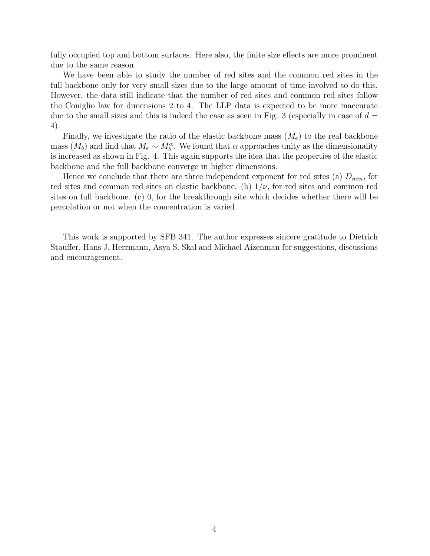fully occupied top and bottom surfaces. Here also, the finite size effects are more prominent due to the same reason.

We have been able to study the number of red sites and the common red sites in the full backbone only for very small sizes due to the large amount of time involved to do this. However, the data still indicate that the number of red sites and common red sites follow the Coniglio law for dimensions 2 to 4. The LLP data is expected to be more inaccurate due to the small sizes and this is indeed the case as seen in Fig. 3 (especially in case of  $d =$ 4).

Finally, we investigate the ratio of the elastic backbone mass  $(M_e)$  to the real backbone mass  $(M_b)$  and find that  $M_e \sim M_b^{\alpha}$ . We found that  $\alpha$  approaches unity as the dimensionality is increased as shown in Fig. 4. This again supports the idea that the properties of the elastic backbone and the full backbone converge in higher dimensions.

Hence we conclude that there are three independent exponent for red sites (a)  $D_{min}$ , for red sites and common red sites on elastic backbone. (b)  $1/\nu$ , for red sites and common red sites on full backbone. (c) 0, for the breakthrough site which decides whether there will be percolation or not when the concentration is varied.

This work is supported by SFB 341. The author expresses sincere gratitude to Dietrich Stauffer, Hans J. Herrmann, Asya S. Skal and Michael Aizenman for suggestions, discussions and encouragement.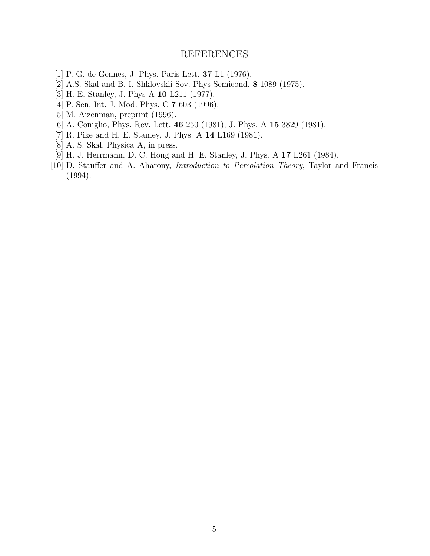## REFERENCES

- [1] P. G. de Gennes, J. Phys. Paris Lett. 37 L1 (1976).
- [2] A.S. Skal and B. I. Shklovskii Sov. Phys Semicond. 8 1089 (1975).
- [3] H. E. Stanley, J. Phys A 10 L211 (1977).
- [4] P. Sen, Int. J. Mod. Phys. C 7 603 (1996).
- [5] M. Aizenman, preprint (1996).
- [6] A. Coniglio, Phys. Rev. Lett. 46 250 (1981); J. Phys. A 15 3829 (1981).
- [7] R. Pike and H. E. Stanley, J. Phys. A 14 L169 (1981).
- [8] A. S. Skal, Physica A, in press.
- [9] H. J. Herrmann, D. C. Hong and H. E. Stanley, J. Phys. A 17 L261 (1984).
- [10] D. Stauffer and A. Aharony, Introduction to Percolation Theory, Taylor and Francis (1994).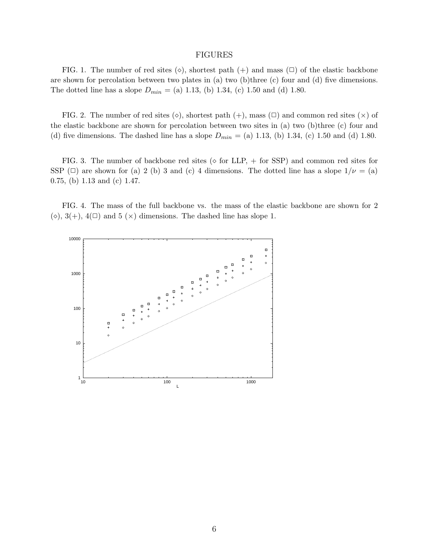## FIGURES

FIG. 1. The number of red sites  $(\diamond)$ , shortest path  $(+)$  and mass  $(\square)$  of the elastic backbone are shown for percolation between two plates in (a) two (b)three (c) four and (d) five dimensions. The dotted line has a slope  $D_{min} = (a) 1.13, (b) 1.34, (c) 1.50$  and (d) 1.80.

FIG. 2. The number of red sites  $(\diamond)$ , shortest path  $(+)$ , mass  $(\square)$  and common red sites  $(\times)$  of the elastic backbone are shown for percolation between two sites in (a) two (b)three (c) four and (d) five dimensions. The dashed line has a slope  $D_{min} = (a)$  1.13, (b) 1.34, (c) 1.50 and (d) 1.80.

FIG. 3. The number of backbone red sites ( $\diamond$  for LLP, + for SSP) and common red sites for SSP ( $\Box$ ) are shown for (a) 2 (b) 3 and (c) 4 dimensions. The dotted line has a slope  $1/\nu = (a)$ 0.75, (b) 1.13 and (c) 1.47.

FIG. 4. The mass of the full backbone vs. the mass of the elastic backbone are shown for 2  $(\diamond), 3(+), 4(\square)$  and 5 ( $\times$ ) dimensions. The dashed line has slope 1.

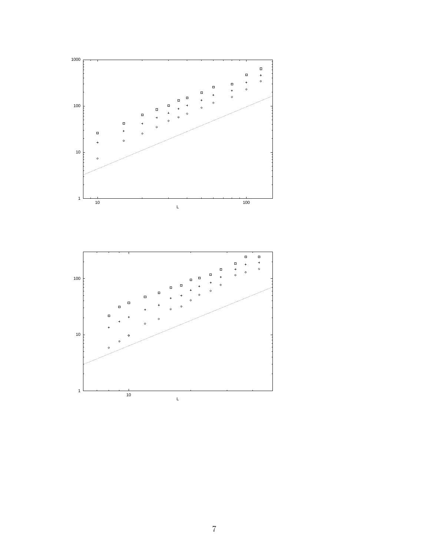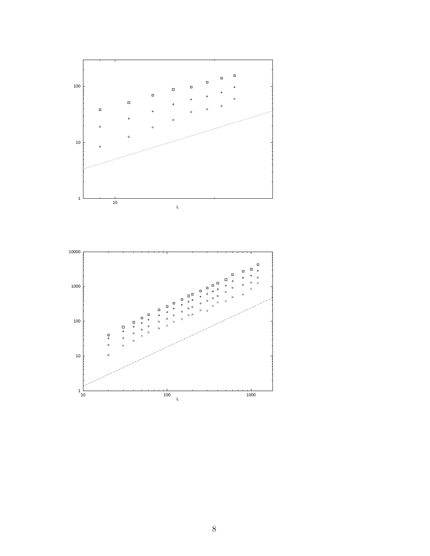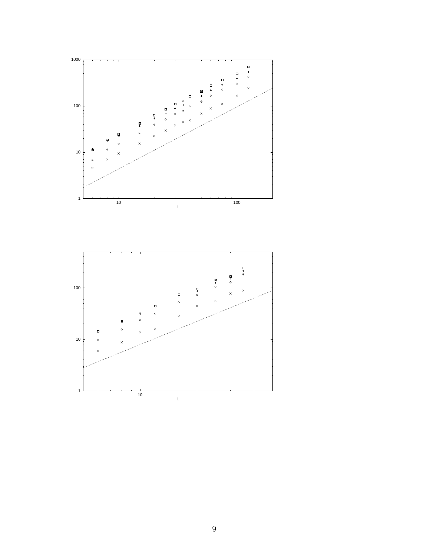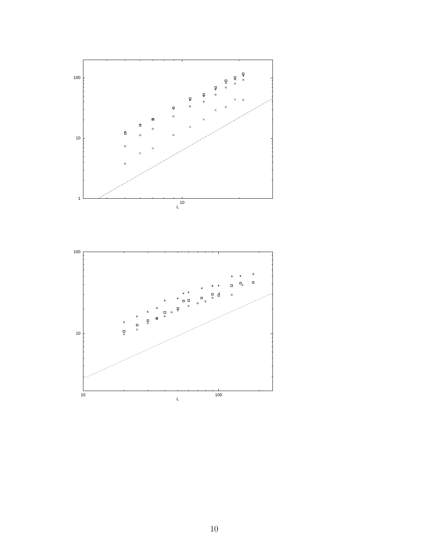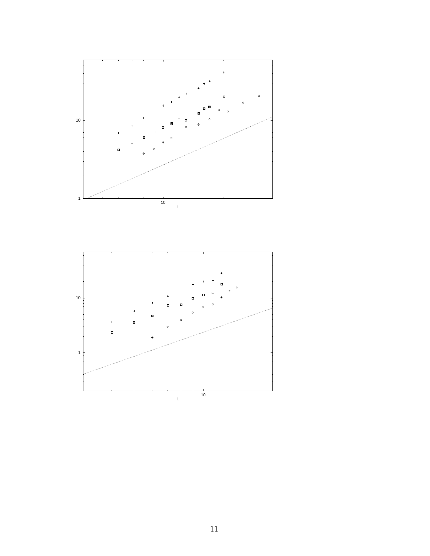